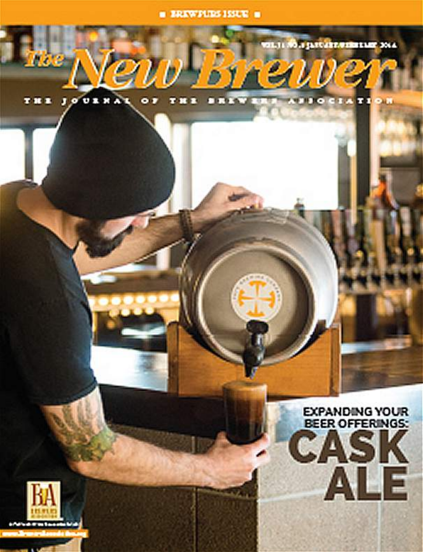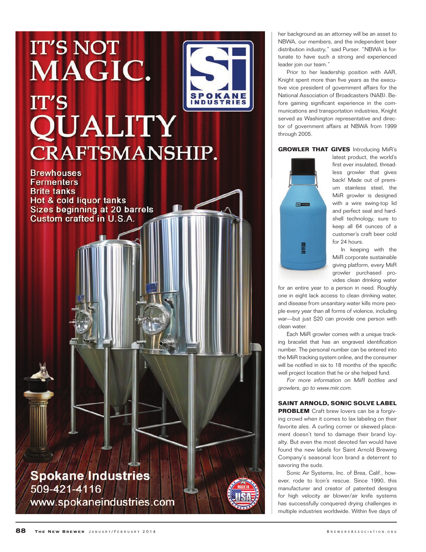# **IT'S NOT** MAGIC. **SPOKANE IT'S QUALITY CRAFTSMANSHIP.**

**Brewhouses Fermenters Brite tanks Hot & cold liquor tanks Sizes beginning at 20 barrels** Custom crafted in U.S.A.

**Spokane Industries** 509-421-4116 www.spokaneindustries.com her background as an attorney will be an asset to NBWA, our members, and the independent beer distribution industry," said Purser. "NBWA is fortunate to have such a strong and experienced leader join our team."

Prior to her leadership position with AAR, Knight spent more than five years as the execu tive vice president of government affairs for the National Association of Broadcasters (NAB). Be fore gaining significant experience in the communications and transportation industries, Knight served as Washington representative and direc tor of government affairs at NBWA from 1999 through 2005.

#### **GROWLER THAT GIVES** Introducing MiiR's



latest product, the world's first ever insulated, thread less growler that gives back! Made out of premi um stainless steel, the MiiR growler is designed with a wire swing-top lid and perfect seal and hard shell technology, sure to keep all 64 ounces of a customer's craft beer cold for 24 hours.

In keeping with the MiiR corporate sustainable giving platform, every MiiR growler purchased pro vides clean drinking water

for an entire year to a person in need. Roughly one in eight lack access to clean drinking water, and disease from unsanitary water kills more peo ple every year than all forms of violence, including war—but just \$20 can provide one person with clean water.

Each MiiR growler comes with a unique track ing bracelet that has an engraved identification number. The personal number can be entered into the MiiR tracking system online, and the consumer will be notified in six to 18 months of the specific well project location that he or she helped fund.

For more information on MiiR bottles and growlers, go to www.miir.com.

### **SAINT ARNOLD, SONIC SOLVE LABEL**

**PROBLEM** Craft brew lovers can be a forgiving crowd when it comes to lax labeling on their favorite ales. A curling corner or skewed place ment doesn't tend to damage their brand loy alty. But even the most devoted fan would have found the new labels for Saint Arnold Brewing Company's seasonal Icon brand a deterrent to savoring the suds.

Sonic Air Systems, Inc. of Brea, Calif., how ever, rode to Icon's rescue. Since 1990, this manufacturer and creator of patented designs for high velocity air blower/air knife systems has successfully conquered drying challenges in multiple industries worldwide. Within five days of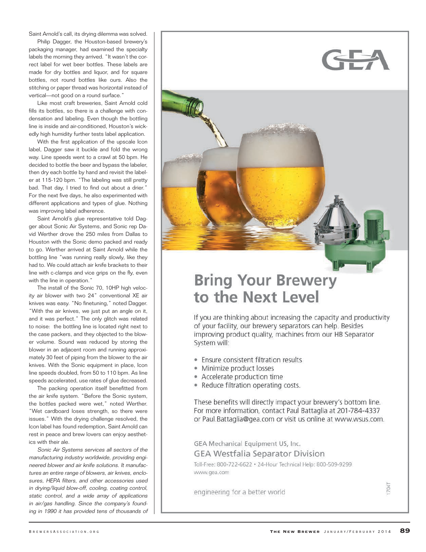Saint Arnold's call, its drying dilemma was solved.

Philip Dagger, the Houston-based brewery's packaging manager, had examined the specialty labels the morning they arrived. "It wasn't the correct label for wet beer bottles. These labels are made for dry bottles and liquor, and for square bottles, not round bottles like ours. Also the stitching or paper thread was horizontal instead of vertical—not good on a round surface."

Like most craft breweries, Saint Arnold cold fills its bottles, so there is a challenge with condensation and labeling. Even though the bottling line is inside and air-conditioned, Houston's wick edly high humidity further tests label application.

With the first application of the upscale Icon label, Dagger saw it buckle and fold the wrong way. Line speeds went to a crawl at 50 bpm. He decided to bottle the beer and bypass the labeler, then dry each bottle by hand and revisit the label er at 115-120 bpm. "The labeling was still pretty bad. That day, I tried to find out about a drier." For the next five days, he also experimented with different applications and types of glue. Nothing was improving label adherence.

Saint Arnold's glue representative told Dag ger about Sonic Air Systems, and Sonic rep Da vid Werther drove the 250 miles from Dallas to Houston with the Sonic demo packed and ready to go. Werther arrived at Saint Arnold while the bottling line "was running really slowly, like they had to. We could attach air knife brackets to their line with c-clamps and vice grips on the fly, even with the line in operation."

The install of the Sonic 70, 10HP high veloc ity air blower with two 24" conventional XE air knives was easy. "No finetuning," noted Dagger. "With the air knives, we just put an angle on it, and it was perfect." The only glitch was related to noise: the bottling line is located right next to the case packers, and they objected to the blow er volume. Sound was reduced by storing the blower in an adjacent room and running approxi mately 30 feet of piping from the blower to the air knives. With the Sonic equipment in place, Icon line speeds doubled, from 50 to 110 bpm. As line speeds accelerated, use rates of glue decreased.

The packing operation itself benefitted from the air knife system. "Before the Sonic system, the bottles packed were wet," noted Werther. "Wet cardboard loses strength, so there were issues." With the drying challenge resolved, the Icon label has found redemption, Saint Arnold can rest in peace and brew lovers can enjoy aesthet ics with their ale.

Sonic Air Systems services all sectors of the manufacturing industry worldwide, providing engi neered blower and air knife solutions. It manufactures an entire range of blowers, air knives, enclosures, HEPA filters, and other accessories used in drying/liquid blow-off, cooling, coating control, static control, and a wide array of applications in air/gas handling. Since the company's found ing in 1990 it has provided tens of thousands of



## **Bring Your Brewery** to the Next Level

If you are thinking about increasing the capacity and productivity of your facility, our brewery separators can help. Besides improving product quality, machines from our HB Separator System will:

- Ensure consistent filtration results
- · Minimize product losses
- Accelerate production time
- Reduce filtration operating costs.

These benefits will directly impact your brewery's bottom line. For more information, contact Paul Battaglia at 201-784-4337 or Paul.Battaglia@gea.com or visit us online at www.wsus.com.

GEA Mechanical Equipment US, Inc. **GEA Westfalia Separator Division** 

Toll-Free: 800-722-6622 . 24-Hour Technical Help: 800-509-9299 www.gea.com

engineering for a better world